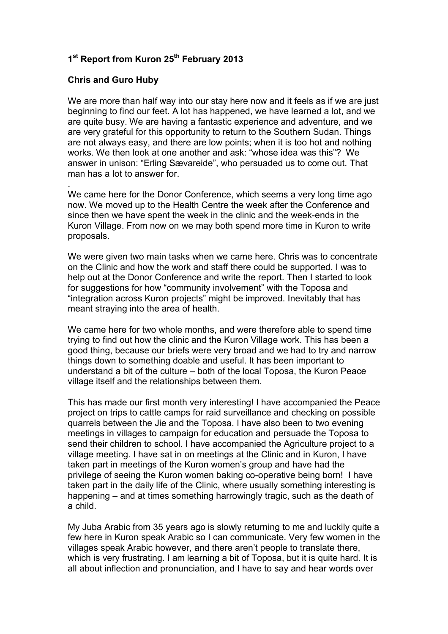## **1 st Report from Kuron 25th February 2013**

## **Chris and Guro Huby**

.

We are more than half way into our stay here now and it feels as if we are just beginning to find our feet. A lot has happened, we have learned a lot, and we are quite busy. We are having a fantastic experience and adventure, and we are very grateful for this opportunity to return to the Southern Sudan. Things are not always easy, and there are low points; when it is too hot and nothing works. We then look at one another and ask: "whose idea was this"? We answer in unison: "Erling Sævareide", who persuaded us to come out. That man has a lot to answer for.

We came here for the Donor Conference, which seems a very long time ago now. We moved up to the Health Centre the week after the Conference and since then we have spent the week in the clinic and the week-ends in the Kuron Village. From now on we may both spend more time in Kuron to write proposals.

We were given two main tasks when we came here. Chris was to concentrate on the Clinic and how the work and staff there could be supported. I was to help out at the Donor Conference and write the report. Then I started to look for suggestions for how "community involvement" with the Toposa and "integration across Kuron projects" might be improved. Inevitably that has meant straying into the area of health.

We came here for two whole months, and were therefore able to spend time trying to find out how the clinic and the Kuron Village work. This has been a good thing, because our briefs were very broad and we had to try and narrow things down to something doable and useful. It has been important to understand a bit of the culture – both of the local Toposa, the Kuron Peace village itself and the relationships between them.

This has made our first month very interesting! I have accompanied the Peace project on trips to cattle camps for raid surveillance and checking on possible quarrels between the Jie and the Toposa. I have also been to two evening meetings in villages to campaign for education and persuade the Toposa to send their children to school. I have accompanied the Agriculture project to a village meeting. I have sat in on meetings at the Clinic and in Kuron, I have taken part in meetings of the Kuron women's group and have had the privilege of seeing the Kuron women baking co-operative being born! I have taken part in the daily life of the Clinic, where usually something interesting is happening – and at times something harrowingly tragic, such as the death of a child.

My Juba Arabic from 35 years ago is slowly returning to me and luckily quite a few here in Kuron speak Arabic so I can communicate. Very few women in the villages speak Arabic however, and there aren't people to translate there, which is very frustrating. I am learning a bit of Toposa, but it is quite hard. It is all about inflection and pronunciation, and I have to say and hear words over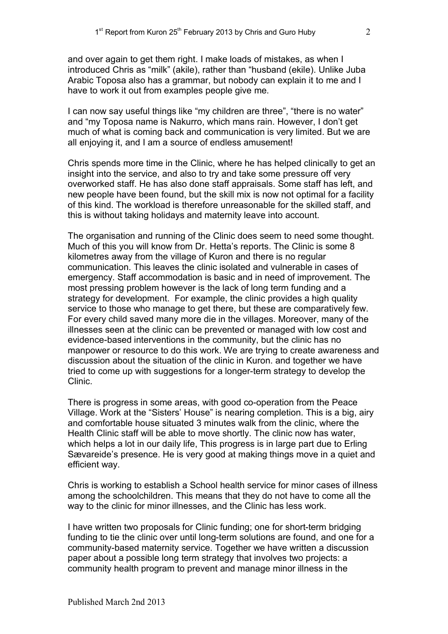and over again to get them right. I make loads of mistakes, as when I introduced Chris as "milk" (akile), rather than "husband (ekile). Unlike Juba Arabic Toposa also has a grammar, but nobody can explain it to me and I have to work it out from examples people give me.

I can now say useful things like "my children are three", "there is no water" and "my Toposa name is Nakurro, which mans rain. However, I don't get much of what is coming back and communication is very limited. But we are all enjoying it, and I am a source of endless amusement!

Chris spends more time in the Clinic, where he has helped clinically to get an insight into the service, and also to try and take some pressure off very overworked staff. He has also done staff appraisals. Some staff has left, and new people have been found, but the skill mix is now not optimal for a facility of this kind. The workload is therefore unreasonable for the skilled staff, and this is without taking holidays and maternity leave into account.

The organisation and running of the Clinic does seem to need some thought. Much of this you will know from Dr. Hetta's reports. The Clinic is some 8 kilometres away from the village of Kuron and there is no regular communication. This leaves the clinic isolated and vulnerable in cases of emergency. Staff accommodation is basic and in need of improvement. The most pressing problem however is the lack of long term funding and a strategy for development. For example, the clinic provides a high quality service to those who manage to get there, but these are comparatively few. For every child saved many more die in the villages. Moreover, many of the illnesses seen at the clinic can be prevented or managed with low cost and evidence-based interventions in the community, but the clinic has no manpower or resource to do this work. We are trying to create awareness and discussion about the situation of the clinic in Kuron. and together we have tried to come up with suggestions for a longer-term strategy to develop the Clinic.

There is progress in some areas, with good co-operation from the Peace Village. Work at the "Sisters' House" is nearing completion. This is a big, airy and comfortable house situated 3 minutes walk from the clinic, where the Health Clinic staff will be able to move shortly. The clinic now has water, which helps a lot in our daily life, This progress is in large part due to Erling Sævareide's presence. He is very good at making things move in a quiet and efficient way.

Chris is working to establish a School health service for minor cases of illness among the schoolchildren. This means that they do not have to come all the way to the clinic for minor illnesses, and the Clinic has less work.

I have written two proposals for Clinic funding; one for short-term bridging funding to tie the clinic over until long-term solutions are found, and one for a community-based maternity service. Together we have written a discussion paper about a possible long term strategy that involves two projects: a community health program to prevent and manage minor illness in the